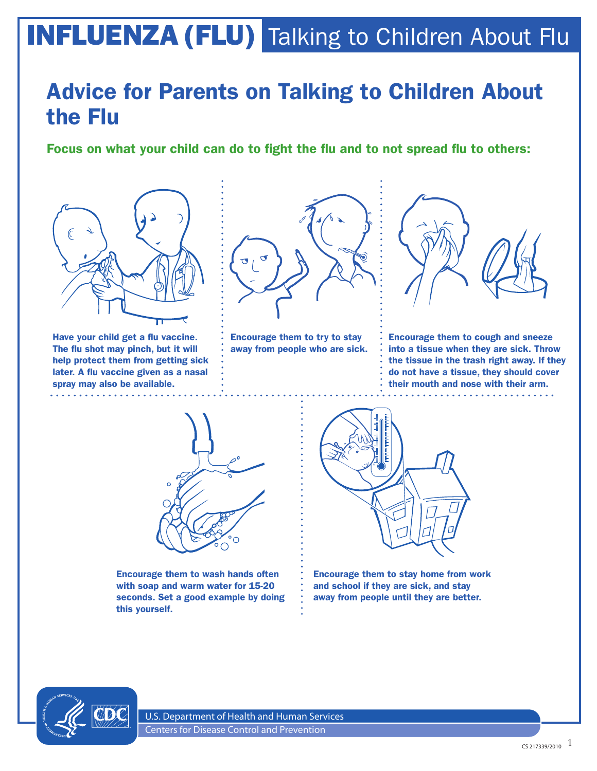## INFLUENZA (FLU) Talking to Children About Flu

## Advice for Parents on Talking to Children About the Flu

Focus on what your child can do to fight the flu and to not spread flu to others:



Have your child get a flu vaccine. The flu shot may pinch, but it will help protect them from getting sick later. A flu vaccine given as a nasal spray may also be available.



Encourage them to try to stay away from people who are sick.



Encourage them to cough and sneeze into a tissue when they are sick. Throw the tissue in the trash right away. If they do not have a tissue, they should cover their mouth and nose with their arm. 



Encourage them to wash hands often with soap and warm water for 15-20 seconds. Set a good example by doing this yourself.



Encourage them to stay home from work and school if they are sick, and stay away from people until they are better.



U.S. Department of Health and Human Services Centers for Disease Control and Prevention